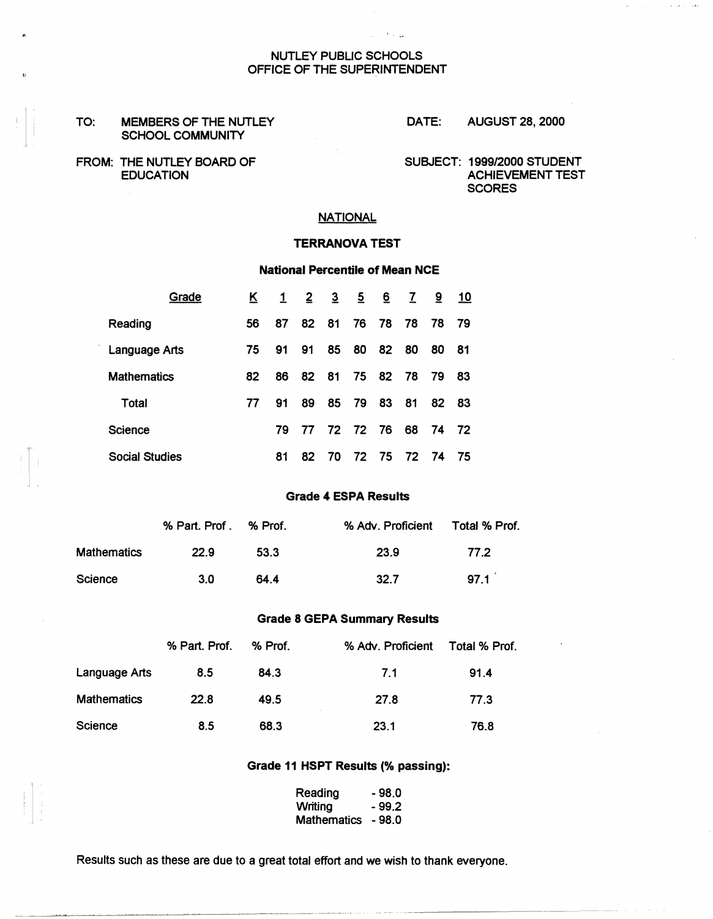### NUTLEY PUBLIC SCHOOLS OFFICE OF THE SUPERINTENDENT

#### TO: **MEMBERS** OF THE NUTLEY SCHOOL **COMMUNITY**

DATE: AUGUST 28, 2000

FROM: THE NUTLEY BOARD OF SUBJECT: 1999/2000 STUDENT EDUCATION

ACHIEVEMENT TEST **SCORES** 

## **NATIONAL**

#### **TERRANOVA** TEST

## National Percentile of Mean NCE

| Grade                 | K. | $\mathbf{1}$ | $\overline{2}$ | $\overline{3}$ | $\overline{5}$ | 6  | $\mathbf{Z}$ | $9^{\circ}$ | 10  |  |
|-----------------------|----|--------------|----------------|----------------|----------------|----|--------------|-------------|-----|--|
| Reading               | 56 | 87           | 82             | 81             | 76             | 78 | 78           | 78          | -79 |  |
| Language Arts         | 75 | 91           | 91             | 85             | 80             | 82 | 80           | 80          | 81  |  |
| <b>Mathematics</b>    | 82 | 86           | 82             | 81             | 75             | 82 | 78           | 79          | 83  |  |
| Total                 | 77 | 91           | 89             | 85             | 79             | 83 | 81           | 82          | 83  |  |
| <b>Science</b>        |    | 79           | 77             | 72 72 76       |                |    | 68           | 74          | 72  |  |
| <b>Social Studies</b> |    | 81           | 82             | 70             | 72             | 75 | 72           | 74          | 75  |  |

#### **Grade 4 ESPA Results**

|                    | % Part. Prof. % Prof. |      | % Adv. Proficient | Total % Prof. |
|--------------------|-----------------------|------|-------------------|---------------|
| <b>Mathematics</b> | 22.9                  | 53.3 | 23.9              | 77 2          |
| Science            | -3.O                  | 64.4 | 32.7              | 971           |

#### **Grade 8 GEPA Summary Results**

|                      | % Part. Prof. | % Prof. | % Adv. Proficient | Total % Prof. |
|----------------------|---------------|---------|-------------------|---------------|
| <b>Language Arts</b> | 8.5           | 84.3    | 7.1               | 91.4          |
| <b>Mathematics</b>   | 22.8          | 49.5    | 27.8              | 77.3          |
| Science              | 8.5           | 68.3    | 23.1              | 76.8          |

#### **Grade 11 HSPT Results** (% **passing):**

| Reading            | - 98.0 |
|--------------------|--------|
| Writing            | - 99.2 |
| <b>Mathematics</b> | - 98.0 |

Results such as these are due to a great total effort and we wish to thank everyone.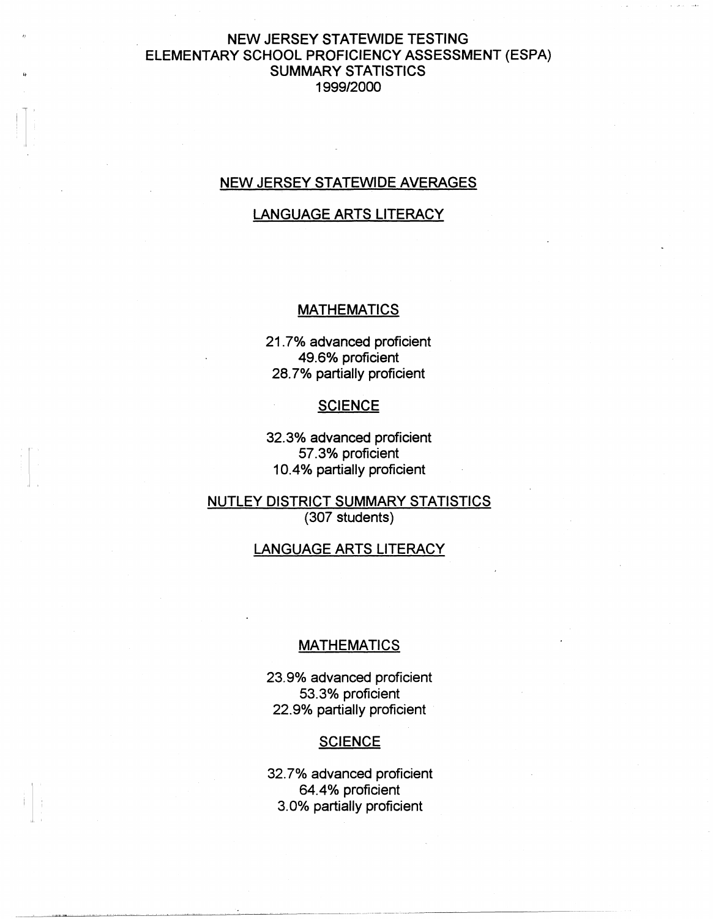# NEW JERSEY STATEWIDE TESTING ELEMENTARY SCHOOL PROFICIENCY ASSESSMENT (ESPA) SUMMARY STATISTICS 1999/2000

## NEW JERSEY STATEWIDE AVERAGES

## LANGUAGE ARTS LITERACY

## **MATHEMATICS**

21. 7% advanced proficient 49.6% proficient 28. 7% partially proficient

## **SCIENCE**

32.3% advanced proficient 57.3% proficient 10.4% partially proficient

NUTLEY DISTRICT **SUMMARY** STATISTICS (307 students)

## LANGUAGE ARTS LITERACY

## **MATHEMATICS**

23.9% advanced proficient 53.3% proficient 22.9% partially proficient

## **SCIENCE**

32. 7% advanced proficient 64.4% proficient 3.0% partially proficient

i '